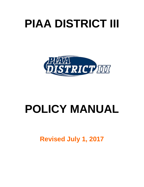# **PIAA DISTRICT III**



# **POLICY MANUAL**

**Revised July 1, 2017**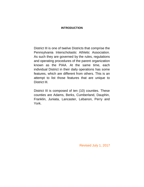# **INTRODUCTION**

District III is one of twelve Districts that comprise the Pennsylvania Interscholastic Athletic Association. As such they are governed by the rules, regulations and operating procedures of the parent organization known as the PIAA. At the same time, each individual District in their daily operations has some features, which are different from others. This is an attempt to list those features that are unique to District III.

District III is composed of ten (10) counties. These counties are Adams, Berks, Cumberland, Dauphin, Franklin, Juniata, Lancaster, Lebanon, Perry and York.

Revised July 1, 2017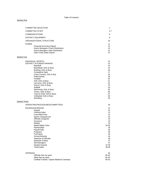#### Table of Contents

#### **Section One**

|                    | <b>COMMITTEE SELECTION</b>                                                                                                                                                                                                                                                                                                                                                                                                  | 1                                                                                                                       |
|--------------------|-----------------------------------------------------------------------------------------------------------------------------------------------------------------------------------------------------------------------------------------------------------------------------------------------------------------------------------------------------------------------------------------------------------------------------|-------------------------------------------------------------------------------------------------------------------------|
|                    | <b>COMMITTEE STAFF</b>                                                                                                                                                                                                                                                                                                                                                                                                      | $2 - 7$                                                                                                                 |
|                    | <b>COMMUNICATIONS</b>                                                                                                                                                                                                                                                                                                                                                                                                       | 8                                                                                                                       |
|                    | DISTRICT EQUIPMENT                                                                                                                                                                                                                                                                                                                                                                                                          | 9                                                                                                                       |
|                    | ORGANIZATIONAL STRUCTURE                                                                                                                                                                                                                                                                                                                                                                                                    | 10                                                                                                                      |
|                    | <b>FORMS</b><br><b>Financial Summary Report</b><br>Game Managers Check Distribution<br>Game Managers Gate Distribution<br><b>Gate Ticket Sales Report</b>                                                                                                                                                                                                                                                                   | 11<br>12<br>12<br>12<br>12 <sup>2</sup>                                                                                 |
| <b>Section Two</b> |                                                                                                                                                                                                                                                                                                                                                                                                                             |                                                                                                                         |
|                    | INDIVIDUAL SPORTS<br><b>DISTRICT III POWER RANKING</b><br>Baseball<br>Basketball, Girls & Boys<br>Bowling, Girls & Boys<br><b>Compettive Spirit</b><br>Cross Country, Girls & Boy<br>Field Hockey<br>Football<br>Golf, Girls & Boys<br>Lacrosse, Girls & Boys<br>Soccer, Girls & Boys<br>Softball<br>Swimming, Girls & Boys<br>Tennis, Girls & Boys<br>Track & Field, Girls & Boys<br>Volleyball, Girls & Boys<br>Wrestling | 12<br>13<br>14<br>15<br>16<br>17<br>18<br>19<br>20<br>21<br>22<br>23<br>24<br>25<br>26<br>27<br>28<br>29                |
| Section Three      |                                                                                                                                                                                                                                                                                                                                                                                                                             |                                                                                                                         |
|                    | OPERATING PROCEDURES/COMMITTEES                                                                                                                                                                                                                                                                                                                                                                                             | 30                                                                                                                      |
|                    | REVENUE/EXPENSE<br>Awards<br><b>Clothing Sales</b><br><b>Committee Fees</b><br>Sports Chairpersons<br>Officials Assignors<br>Insurance<br>Medals<br>Media Rights Fees<br>Partnerships<br><b>Playoff Fees</b><br>Programs<br>Purchases<br><b>School Refunds</b><br>Selection of Officials<br>Selection of Sites<br>Site Managers<br><b>Student Awards</b><br><b>Ticket Sales</b>                                             | 31<br>31<br>31<br>31<br>32<br>32<br>33<br>33<br>34-35<br>35<br>36<br>36<br>36<br>36<br>36<br>37<br>37<br>37-38<br>38-39 |
|                    | APPENDIX                                                                                                                                                                                                                                                                                                                                                                                                                    | 40                                                                                                                      |
|                    | Officials fees by sport                                                                                                                                                                                                                                                                                                                                                                                                     | 40-43                                                                                                                   |
|                    | Other fees by sport<br>Certified Trainers / Sports Medicine Contracts                                                                                                                                                                                                                                                                                                                                                       | 40-43<br>$40 - 43$                                                                                                      |
|                    |                                                                                                                                                                                                                                                                                                                                                                                                                             |                                                                                                                         |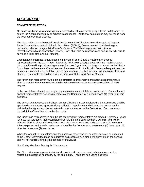# **SECTION ONE**

#### **COMMITTEE SELECTION**

On an annual basis, a Nominating Committee shall meet to nominate people to the ballot, which is cast at the Annual Meeting by all schools in attendance. Additional nominations may be made from the floor at the Annual Meeting.

The Nominating Committee shall consist of the Executive Directors from all recognized leagues: Berks County Interscholastic Athletic Association (BCIAA), Commonwealth Christian League, Lancaster-Lebanon League, Mid-Penn Conference, Tri-Valley League and York Adams Interscholastic Athletic Association (YAIAA). Each shall also be responsible to secure an individual to serve as a teller at the Annual Meeting.

Each league/conference is guaranteed a minimum of one (1) and a maximum of three (3) representatives on the Committee. If, after the initial vote, a league does not have representation, the Committee will appoint a voting member for one (1) year from the league to serve on the District Committee. In the event a Committee member moves within the District from one league to another creating unbalanced representation (based on election rules), that member will remain until the next election. The initial vote shall be final and binding until the next Annual Meeting.

The junior high representative, the athletic directors' representative and a female representative shall be elected from the members who have been elected to serve as representatives of their leagues.

In the event those elected as a league representative cannot fill these positions, the Committee will appoint representatives as voting members of the Committee for a period of one (1) year to fill said positions.

The person who received the highest number of ballots but was unelected to the Committee shall be appointed to the vacant representative position(s). Appointments shall go to the person on the ballot with the highest number of votes who was not elected to the Committee. If no one was on the ballot, the Committee will make the choice.

The junior high representative and the athletic directors' representative are elected in alternate years for a two (2) year term. Representatives from the School Board, Women's Officials' and Men's Officials' shall be chosen in compliance with The PIAA Constitution and serve a two (2) year term. A female parent and a male parent are selected by the Committee to serve a one (1) year term. All other terms are one (1) year terms.

When the Annual Ballot contains only the names of those who will be either selected or appointed to the District Committee it can be approved as presented by a single majority vote of the schools and will not require voting by the schools for individuals.

#### Non Voting Members Serving As Chairpersons

The Committee may approve individuals to positions to serve as sports chairpersons or other related duties deemed necessary by the committee. These are non-voting positions.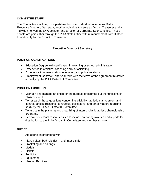# **COMMITTEE STAFF**

The Committee employs, on a part-time basis, an individual to serve as District Executive Director / Secretary, another individual to serve as District Treasurer and an individual to work as a Webmaster and Director of Corporate Sponsorships. These people are paid either through the PIAA State Office with reimbursement from District III or directly by the District III Treasurer.

# **Executive Director / Secretary**

# **POSITION QUALIFICATIONS**

- Education Degree with certification in teaching or school administration
- Experience in athletics, coaching and / or officiating
- Experience in administration, education, and public relations.
- Employment Contract: one-year term with the terms of the agreement reviewed annually by the PIAA District III Committee.

# **POSITION FUNCTION**

- Maintain and manage an office for the purpose of carrying out the functions of PIAA District III.
- To research those questions concerning eligibility, athletic management and control, athletic relations, contractual obligations, and other matters requiring study by the PI.A.A. District III Committee.
- To assist in the planning and organizing of interscholastic athletic championship programs.
- Perform secretarial responsibilities to include preparing minutes and reports for distribution to the PIAA District III Committee and member schools.

# **DUTIES**

Aid sports chairpersons with:

- Playoff sites; both District III and Inter-district
- Bracketing and pairings
- Medals
- Tickets
- Publicity
- Equipment
- Meeting Facilities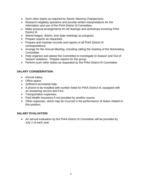- Such other duties as required by Sports Steering Chairpersons.
- Research eligibility questions and provide written interpretations for the information and use of the PIAA District III Committee.
- Make physical arrangements for all hearings and workshops involving PIAA District III.
- Attend league, district, and state meetings as assigned.
- Prepare reports as requested.
- Prepare and maintain records and reports of all PIAA District III correspondence.
- Arrange for the Annual Meeting, including calling the meeting of the Nominating Committee.
- Help organize and advise the Committee to investigate In-Season and Out-of Season violations. Prepare reports for this group.
- Perform such other duties as requested by the PIAA District III Committee.

# **SALARY CONSIDERATION**

- Annual salary.
- Office space.
- Sufficient secretarial help.
- A phone to be installed with number listed for PIAA District III, equipped with an answering service and FAX.
- Transportation expenses.
- Paid Health Insurance if not provided by another source.
- Other expenses, which may be incurred in the performance of duties related to this position.

# **SALARY EVALUATION**

• An annual evaluation by the PIAA District III Committee will be provided by July 1 of each year.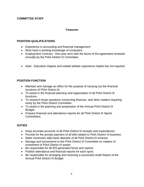# **COMMITTEE STAFF**

# **Treasurer**

# **POSITION QUALIFICATIONS**

- Experience in accounting and financial management
- Must have a working knowledge of computers
- Employment Contract: One-year term with the terms of the agreement reviewed annually by the PIAA District III Committee
- *Note: Education Degree and related athletic experience helpful but not required.*

# **POSITION FUNCTION**

- Maintain and manage an office for the purpose of carrying out the financial functions of PIAA District III.
- To assist in the financial planning and organization of all PIAA District III functions.
- To research those questions concerning finances, and other matters requiring study by the PIAA District Committee.
- To assist in the planning and preparation of the Annual PIAA District III Budget.
- Prepare financial and attendance reports for all PIAA District III Sports Committees.

# **DUTIES**

- Keep accurate accounts of all PIAA District III receipts and expenditures
- Provide for the prompt payment of all bills related to PIAA District III business
- Make necessary daily bank deposits of all PIAA District III revenue
- Manage and recommend to the PIAA District III Committee on matters of investment of PIAA District III assets
- Be responsible for all IRS generated forms and reports
- Publish attendance and financial reports for each sport.
- Be responsible for arranging and receiving a successful Audit Report of the Annual PIAA District III Budget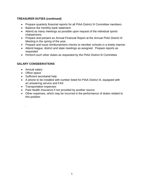# **TREASURER DUTIES (continued)**

- Prepare quarterly financial reports for all PIAA District III Committee members
- Balance the monthly bank statement
- Attend as many meetings as possible upon request of the individual sports chairpersons
- Prepare and present an Annual Financial Report at the Annual PIAA District III Meeting in the spring of the year.
- Prepare and issue reimbursement checks to member schools in a timely manner
- Attend league, district and state meetings as assigned. Prepare reports as requested
- Perform such other duties as requested by the PIAA District III Committee

# **SALARY CONSIDERATIONS**

- Annual salary
- Office space

.

- Sufficient secretarial help
- A phone to be installed with number listed for PIAA District III, equipped with an answering service and FAX
- Transportation expenses
- Paid Health Insurance if not provided by another source
- Other expenses, which may be incurred in the performance of duties related to this position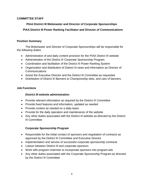# **COMMITTEE STAFF**

# **PIAA District III Webmaster and Director of Corporate Sponsorships**

# **PIAA District III Power Ranking Facilitator and Director of Communications**

# **Position Summary**

The Webmaster and Director of Corporate Sponsorships will be responsible for the following duties:

- Administration of and daily content provision for the PIAA District III website
- Administration of the District III Corporate Sponsorship Program
- Coordination and facilitation of the District III Power Ranking System
- Organization and distribution of District III news and information as Director of Communications
- Assist the Executive Director and the District III Committee as requested
- Distribution of District III Banners to Championship sites, and care of banners.

# **Job Functions**

# **District III website administration**

- Provide relevant information as required by the District III Committee
- Provide fixed features and information, updated as needed
- Provide content as needed on a daily basis
- Provide for the daily operation and maintenance of the website
- Any other duties associated with the District III website as directed by the District III Committee

# **Corporate Sponsorship Program**

- Responsible for the initial contact of sponsors and negotiation of contracts as approved by the District III Committee and Executive Director
- Implementation and service of successful corporate sponsorship contracts
- Liaison between District III and corporate sponsors
- Work with program chairman to incorporate sponsors into program ads
- Any other duties associated with the Corporate Sponsorship Program as directed by the District III Committee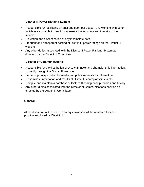# **District III Power Ranking System**

- Responsible for facilitating at least one sport per season and working with other facilitators and athletic directors to ensure the accuracy and integrity of the system
- Collection and dissemination of any incomplete data
- Frequent and transparent posting of District III power ratings on the District III website
- Any other duties associated with the District III Power Ranking System as directed by the District III Committee

# **Director of Communications**

- Responsible for the distribution of District III news and championship information, primarily through the District III website
- Serve as primary contact for media and public requests for information
- Disseminate information and results at District III championship events
- Compile and maintain a database of District III championship records and history
- Any other duties associated with the Director of Communications position as directed by the District III Committee

# **General**

At the discretion of the board, a salary evaluation will be reviewed for each position employed by District III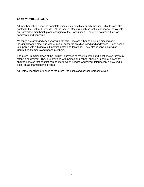# **COMMUNICATIONS**

All member schools receive complete minutes via email after each meeting. Minutes are also posted to the District III website. At the Annual Meeting, each school in attendance has a vote on Committee membership and changing of the Constitution. There is also ample time for comments and concerns.

Meetings are arranged each year with Athletic Directors either as a single meeting or in individual league meetings where mutual concerns are discussed and addressed. Each school is supplied with a listing of all meeting dates and locations. They also receive a listing of Committee Members and phone numbers.

The press, in major areas of the District, is advised of meeting dates and locations so they may attend if so desired. They are provided with names and school phone numbers of all sports' chairpersons so that contact can be made when needed or desired. Information is provided in detail on all championship events.

All District meetings are open to the press, the public and school representatives.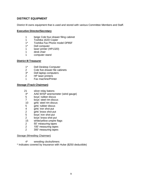# **DISTRICT EQUIPMENT**

District III owns equipment that is used and stored with various Committee Members and Staff.

#### **Executive Director/Secretary**

- 1 beige Cole four-drawer filing cabinet
- 1 Toshiba 162D Copier<br>1\* Toshiba Fax Phone m
- 1\* Toshiba Fax Phone model DP85F<br>1\* Dell computer
- Dell computer
- 1 laser printer (HP1320)
- 1 desk chair
- 1 computer stand

## **District III Treasurer**

- 1\* Dell Desktop Computer
- 2 Cole five-drawer file cabinets<br>3<sup>\*</sup> Dell laptop computers
- Dell laptop computers
- 2 HP laser printers
- 1 Fax machine/Printer

# **Storage (Track Chairman)**

- 21 silver relay batons<br>4\* AAE WISP anemor
- AAE WISP anemometer (wind gauge)
- 5 boys' rubber discus
- 7 boys' steel rim discus<br>10 airls' steel rim discus
- girls' steel rim discus
- 5 girls' rubber discus
- 4 girls' iron shot put<br>2 airls' brass shot pu
- girls' brass shot put
- 5 boys' iron shot put
- 2 boys' brass shot put
- 15 white/yellow umpire flags
- 2 50' measuring tapes
- 2 100' measuring tapes
- 2 300' measuring tapes

#### Storage (Wrestling Chairman)

- 4\* wrestling clocks/timers
- \* Indicates covered by insurance with Hulse (\$250 deductible)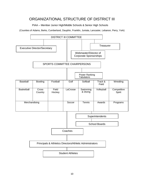# ORGANIZATIONAL STRUCTURE OF DISTRICT III

PIAA – Member Junior High/Middle Schools & Senior High Schools

(Counties of Adams, Berks, Cumberland, Dauphin, Franklin, Juniata, Lancaster, Lebanon, Perry, York)

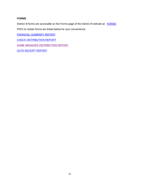## **FORMS**

District III forms are accessible on the Forms page of the District III website at: [FORMS](http://piaadistrict3.org/forms/)

PDFs to certain forms are linked below for your convenience:

[FINANCIAL](http://piaadistrict3.org/wp-content/uploads/2011/08/Financial-Summary.pdf) SUMMARY REPORT

CHECK [DISTRIBUTION](http://piaadistrict3.org/wp-content/uploads/2011/08/Distribution-Report-by-Check.pdf) REPORT

GAME MANAGER [DISTRIBUTION](http://piaadistrict3.org/wp-content/uploads/2011/08/Distribution-Report.pdf) REPORT

GATE [RECEIPT](http://piaadistrict3.org/wp-content/uploads/2011/08/Gates-Sales.pdf) REPORT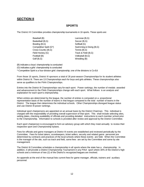# <span id="page-14-0"></span>**SECTION II**

#### **SPORTS**

The District III Committee provides championship tournaments in 16 sports. These sports are:

- Baseball (B) Lacrosse (B,G) Basketball (B,G) Soccer (B,G) Bowling (B,G) Softball (G) Cross-Country (B,G) Tennis (B,G) Field Hockey (G) Track & Field (B,G) Football (B) Volleyball (B,G) Golf (B,G) Wrestling (B)
- Competitive Spirit (G\*) Swimming & Diving (B,G)

(B) indicates a boys' championship is conducted

(G) indicates a girls' championship is conducted

\*-Competitive Spirit is a four-division girls' championship; one of the divisions is Co-Ed

From those 16 sports, District III sponsors a total of 26 post-season Championships for its student athletes within District III. There are 13 Championships each for boys and girls athletes. These championships also serve as qualifiers to the PIAA Championships.

Entries into the District III Championships vary for each sport. Power rankings, the number of medals awarded and advancement to the PIAA Championships change with each sport. What follows is an analysis and explanation for each sport's championship.

When entries are determined by the league, the number of entries is computed on a proportional representation basis of the number of teams in that league compared to the total number of teams in the District. The league then determines the individual schools. Other Championships disregard league status and use District III power rankings.

Individual sport chairpersons are appointed on an annual basis by the District Chairman. This individual is charged with the responsibility of providing overall supervision of that sport. This shall include selecting sites, setting dates, checking availability of officials and providing detailed instructions to each member school prior to the Championship. Information to schools is provided after review and approval by the District Committee.

Each sport chairperson is encouraged to form an advisory group with which they meet annually to review their respective sport and Championship bylaws.

Fees for officials and game managers at District III events are established and reviewed periodically by the Committee. Fees for ticket takers, scorekeepers, ticket sellers, security and related game personnel are determined by contracts and practices of the local schools where these events are held. When the Committee is the manager of the site, such as track and field, some fees are set by the Committee and some by site management.

The District III Committee schedules a championship in all sports where the state has a championship. In addition, it will provide a District Championship Tournament in any PIAA sport where 30% of the District's high schools and a minimum of two (2) of the District's recognized leagues are involved.

An appendix at the end of the manual lists current fees for game manager, officials, trainers and auxiliary personnel.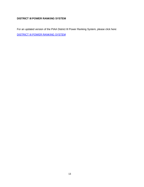# **DISTRICT III POWER RANKING SYSTEM**

For an updated version of the PIAA District III Power Ranking System, please click here: [DISTRICT](http://tripletdad33.files.wordpress.com/2011/01/district-3-power-rating-explanation-55-452.pdf) III POWER RANKING SYSTEM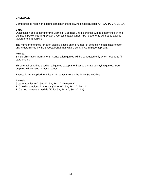#### <span id="page-16-0"></span>**BASEBALL**

Competition is held in the spring season in the following classifications: 6A, 5A, 4A, 3A, 2A, 1A.

#### **Entry**

Qualification and seeding for the District III Baseball Championships will be determined by the District III Power Ranking System. Contests against non-PIAA opponents will not be applied toward the final ranking.

The number of entries for each class is based on the number of schools in each classification and is determined by the Baseball Chairman with District III Committee approval.

#### **Format**

Single elimination tournament. Consolation games will be conducted only when needed to fill state entries.

Three umpires will be used for all games except the finals and state qualifying games. Four umpires will be used in those games.

Baseballs are supplied for District III games through the PIAA State Office.

#### **Awards**

6 team trophies (6A, 5A, 4A, 3A, 2A, 1A champions) 120 gold championship medals (20 for 6A, 5A, 4A, 3A, 2A, 1A) 120 aztec runner-up medals (20 for 6A, 5A, 4A, 3A, 2A, 1A)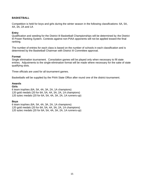# **BASKETBALL**

Competition is held for boys and girls during the winter season in the following classifications: 6A, 5A, 4A, 3A, 2A and 1A

#### **Entry**

Qualification and seeding for the District III Basketball Championships will be determined by the District III Power Ranking System. Contests against non-PIAA opponents will not be applied toward the final ranking.

The number of entries for each class is based on the number of schools in each classification and is determined by the Basketball Chairman with District III Committee approval.

#### **Format**

Single elimination tournament. Consolation games will be played only when necessary to fill state entries. Adjustments to the single-elimination format will be made where necessary for the sake of state qualifying slots.

Three officials are used for all tournament games.

Basketballs will be supplied by the PIAA State Office after round one of the district tournament.

#### **Awards**

# **Girls**

6 team trophies (6A, 5A, 4A, 3A, 2A, 1A champions) 120 gold medals (20 for 6A, 5A, 4A, 3A, 2A, 1A champions) 120 aztec medals (20 for 6A, 5A, 4A, 3A, 2A, 1A runners-up)

#### **Boys**

6 team trophies (6A, 5A, 4A, 3A, 2A, 1A champions) 120 gold medals (20 for 6A, 5A, 4A, 3A, 2A, 1A champions) 120 aztec medals (20 for 6A, 5A, 4A, 3A, 2A, 1A runners-up)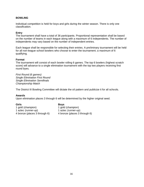#### **BOWLING**

Individual competition is held for boys and girls during the winter season. There is only one classification.

#### **Entry**

The tournament shall have a total of 36 participants. Proportional representation shall be based on the number of teams in each league along with a maximum of 6 independents. The number of independents may vary based on the number of independent entries.

Each league shall be responsible for selecting their entries. A preliminary tournament will be held for all non-league school bowlers who choose to enter the tournament; a maximum of 6 qualifying.

#### **Format**

The tournament will consist of each bowler rolling 6 games. The top 6 bowlers (highest scratch score) will advance to a single elimination tournament with the top two players receiving first round byes.

*First Round (6 games) Single Elimination First Round Single Elimination Semifinals Championship Match*

The District III Bowling Committee will dictate the oil pattern and publicize it for all schools.

#### **Awards**

Upon elimination places 3 through 6 will be determined by the higher original seed.

**Girls Boys** 1 gold (champion) 1 gold (champion) 1 aztec (runner-up) 1 aztec (runner-up) 4 bronze (places 3 through 6) 4 bronze (places 3 through 6)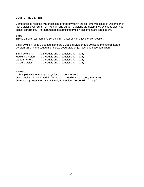#### <span id="page-19-0"></span>**COMPETITIVE SPIRIT**

Competition is held the winter season, preferably within the first two weekends of December, in four divisions: Co-Ed, Small, Medium and Large. Divisions are determined by squad size, not school enrollment. The parameters determining division placement are listed below.

#### **Entry**

This is an open tournament. Schools may enter only one level of competition.

Small Division (up to 15 squad members), Medium Division (16-20 squad members), Large Division (21 or more squad members), Coed Division (at least one male participant)

| Small Division:  | 15 Medals and Championship Trophy |
|------------------|-----------------------------------|
| Medium Division: | 20 Medals and Championship Trophy |
| Large Division:  | 30 Medals and Championship Trophy |
| Co-ed Division:  | 30 Medals and Championship Trophy |

#### **Awards**

4 championship team trophies (1 for each competition) 95 championship gold medals (15 Small, 20 Medium, 20 Co-Ed, 30 Large) 95 runner-up aztec medals (15 Small, 20 Medium, 20 Co-Ed, 30 Large)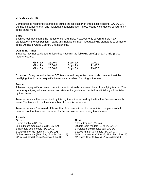#### **CROSS COUNTRY**

Competition is held for boys and girls during the fall season in three classifications: 3A, 2A, 1A. District III sponsors team and individual championships in cross-country, conducted concurrently in the same meet.

#### **Entry**

Each school may submit the names of eight runners. However, only seven runners may participate in the competition. Teams and individuals must meet qualifying standards to compete in the District III Cross-Country Championship.

#### **Qualifying Times**

Students may not participate unless they have run the following time(s) on a 3.1 mile (5,000 meters) course:

| Girls' 1A | 25:00.0 | Boys' 1A | 21:00.0 |
|-----------|---------|----------|---------|
| Girls' 2A | 25:00.0 | Boys' 2A | 21:00.0 |
| Girls' 3A | 23:00.0 | Boys' 3A | 19:00.0 |

Exception: Every team that has a .500 team record may enter runners who have not met the qualifying time in order to qualify five runners capable of scoring in the meet.

#### **Format**

Athletes may qualify for state competition as individuals or as members of qualifying teams. The number qualifying athletes depends on state entry guidelines. Individuals finishing will be listed by their times.

Team scores shall be determined by totaling the points scored by the first five finishers of each team. The team with the lowest number of points is the winner.

Team scores are "re-ranked." If fewer than five competitors of a team finish, the places of all members of that team are discarded for the purpose of determining team scores.

#### **Awards**

**Girls Boys** 3 team trophies (3A, 2A) 3 team trophies (3A, 2A) 30 gold team medals (10 to 3A, 2A, 1A) 30 gold team medals (10 to 3A, 2A, 1A) 3 individual gold medals (3A, 2A, 1A) 3 individual gold medals (3A, 2A, 1A) 64 bronze medals (28 to 3A, 18 to 2A, 18 to 1A) 64 bronze medals (28 to 3A, 18 to 2A, 18 to 2A, 18 to 2A, 18 to 1A places 3 thru 20)  $(3A$  places 3 thru 30,  $2A$  and 1A places 3 thru 20)

3 aztec runner-up medals (3A, 2A, 1A) 3 aztec runner-up medals (3A, 2A, 1A)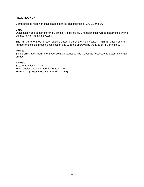## <span id="page-21-0"></span>**FIELD HOCKEY**

Competition is held in the fall season in three classifications: 3A, 2A and 1A.

#### **Entry**

Qualification and seeding for the District III Field Hockey Championships will be determined by the District Power Ranking System.

The number of entries for each class is determined by the Field Hockey Chairman based on the number of schools in each classification and with the approval by the District III Committee.

#### **Format**

Single elimination tournament. Consolation games will be played as necessary to determine state entries.

#### **Awards**

3 team trophies (3A, 2A, 1A) 75 championship gold medals (25 to 3A, 2A, 1A) 75 runner-up aztec medals (25 to 3A, 2A, 1A)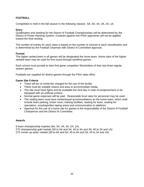# <span id="page-22-0"></span>**FOOTBALL**

Competition is held in the fall season in the following classes: 6A, 5A, 4A, 3A, 2A, 1A.

## **Entry**

Qualification and seeding for the District III Football Championships will be determined by the District III Power Ranking System. Contests against non-PIAA opponents will not be applied toward the final ranking.

The number of entries for each class is based on the number of schools in each classification and is determined by the Football Chairman with District III Committee approval.

#### **Format**

The higher ranked team in all games will be designated the home team. Home sites of the higher seeded team may be used for first round through semifinal games.

Each school must provide to their first game competitor films/videos of their last three regular season games.

Footballs are supplied for district games through the PIAA state office.

#### **Game Site Criteria**

- There will be no rental fee charged for the use of the facility.
- There must be suitable means and area to accommodate media.
- The site must have lights and be available the next day in case of postponement or be equipped with an artificial surface.
- Normal game expenses will be paid. Reasonable local rates for personnel may be used.
- The visiting team must have similar/equal accommodations as the home team, which shall include team parking, locker room, training facilities, seating for team, seating for spectators, scouting/video taping areas and communication to sidelines.
- Approval for the use of a home site for games is the responsibility of the District III Football Chairperson and the District III Committee.

#### **Awards**

6 team championship trophies (6A, 5A, 4A, 3A, 2A, 1A) 270 championship gold medals (50 to 6A and 5A; 45 to 4A and 3A; 40 to 2A and 1A) 270 runner-up aztec medals (50 to 6A and 5A; 45 to 4A and 3A; 40 to 2A and 1A)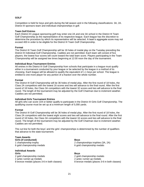#### **GOLF**

Competition is held for boys and girls during the fall season and in the following classifications: 3A, 2A. District III sponsors team and individual championships in golf.

#### **Team Golf Entries**

Each District III League sponsoring golf may enter one 2A and one 3A school in the District III Team Golf Championship as the representative of its respective league. Each league has the discretion to determine the procedure by which its representative will be selected. A team's aggregate score may not exceed 400 in order to be eligible for the District III Team Golf Championship.

#### **Format**

The District III Team Golf Championship will be 18 holes of medal play on the Tuesday preceding the District III Individual Golf Championship. Caddies are not permitted. Each team will consist of five players; the lowest four scores will count toward the total team score. Players participating in the Team Championship will be assigned tee times beginning at 12:00 noon the day of the tournament.

#### **Individual Boys Tournament Entries**

All entries in the District III Golf Championship from schools that participate in a league must qualify either in a tournament conducted by your league or be selected by the league in a method of its choosing. Each league will be allowed to qualify the equivalent of 1.1 boys per school. The league is entitled to one more player for any portion of a fraction over the whole number.

#### **Format**

The District III Golf Championship will be 36 holes of medal play. After the first round of 18 holes, the Class 2A competitors with the lowest 16 scores and ties will advance to the final round. After the first round of 18 holes, the Class 3A competitors with the lowest 32 scores and ties will advance to the final round. The length of the tournament may be adjusted by the Golf Chairman due to inclement weather. Caddies are not permitted.

#### **Individual Girls Tournament Entries**

All girls who can score 104 or better qualify to participate in the District III Girls Golf Championship. The qualifying course must be set up at a minimum length of 5,000 yards.

#### **Format**

The District III Golf Championship will be 36 holes of medal play. After the first round of 18 holes, the Class 2A competitors with the lowest eight scores and ties will advance to the final round. After the first round of 18 holes, the Class 3A competitors with the lowest 16 scores and ties will advance to the final round. The length of the tournament may be adjusted by the Golf Chairman due to inclement weather. Caddies are not permitted.

The cut line for both the boys' and the girls' championships is determined by the number of qualifiers that advance to the state tournament.

# **Team Awards**

**Girls (if conducted) Boys** 6 gold championship medals 6 gold championship medals

#### **Individual Awards Girls Boys**

2 gold championship medals 2 gold championship medals 2 aztec runner-up medals 2 aztec runner-up medals 8 bronze medals (places 3-6 in both classes) 8 bronze medals (places 3-6 in both classes)

1 championship trophy 2 championships trophies (3A, 2A)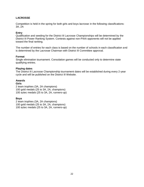# **LACROSSE**

Competition is held in the spring for both girls and boys lacrosse in the following classifications: 3A, 2A

#### **Entry**

Qualification and seeding for the District III Lacrosse Championships will be determined by the District III Power Ranking System. Contests against non-PIAA opponents will not be applied toward the final ranking.

The number of entries for each class is based on the number of schools in each classification and is determined by the Lacrosse Chairman with District III Committee approval.

#### **Format**

Single elimination tournament. Consolation games will be conducted only to determine state qualifying entries.

#### **Playing dates**

The District III Lacrosse Championship tournament dates will be established during every 2-year cycle and will be published on the District III Website.

#### **Awards**

**Girls** 2 team trophies (3A, 2A champions) 100 gold medals (25 to 3A, 2A, champions) 100 aztec medals (25 to 3A, 2A, runners-up)

#### **Boys**

2 team trophies (3A, 2A champions) 100 gold medals (25 to 3A, 2A, champions) 100 aztec medals (25 to 3A, 2A, runners-up)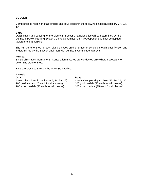## **SOCCER**

Competition is held in the fall for girls and boys soccer in the following classifications: 4A, 3A, 2A, 1A

#### **Entry**

Qualification and seeding for the District III Soccer Championships will be determined by the District III Power Ranking System. Contests against non-PIAA opponents will not be applied toward the final ranking.

The number of entries for each class is based on the number of schools in each classification and is determined by the Soccer Chairman with District III Committee approval.

#### **Format**

Single elimination tournament. Consolation matches are conducted only where necessary to determine state entries.

Balls are provided through the PIAA State Office.

## **Awards**

100 gold medals (25 each for all classes) 100 gold medals (25 each for all classes) 100 aztec medals (25 each for all classes) 100 aztec medals (25 each for all classes)

#### **Girls Boys**

4 team championship trophies (4A, 3A, 2A, 1A) 4 team championship trophies (4A, 3A, 2A, 1A)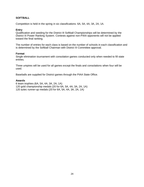## **SOFTBALL**

Competition is held in the spring in six classifications: 6A, 5A, 4A, 3A, 2A, 1A.

#### **Entry**

Qualification and seeding for the District III Softball Championships will be determined by the District III Power Ranking System. Contests against non-PIAA opponents will not be applied toward the final ranking.

The number of entries for each class is based on the number of schools in each classification and is determined by the Softball Chairman with District III Committee approval.

#### **Format**

Single elimination tournament with consolation games conducted only when needed to fill state entries.

Three umpires will be used for all games except the finals and consolations when four will be used.

Baseballs are supplied for District games through the PIAA State Office.

#### **Awards**

6 team trophies (6A, 5A, 4A, 3A, 2A, 1A) 120 gold championship medals (20 for 6A, 5A, 4A, 3A, 2A, 1A) 120 aztec runner-up medals (20 for 6A, 5A, 4A, 3A, 2A, 1A)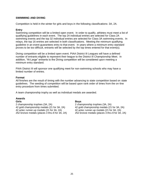#### **SWIMMING AND DIVING**

Competition is held in the winter for girls and boys in the following classifications: 3A, 2A.

#### **Entry**

Swimming competition will be a limited open event. In order to qualify, athletes must meet a list of qualifying guidelines in each event. The top 24 individual entries are selected for Class 2A swimming events and the top 32 individual entries are selected for Class 3A swimming events. In relays, the top 16 entries are selected in both classifications. Meeting the minimum qualifying guideline in an event guarantees entry to that event. In years where a minimum entry standard proves to be too difficult, entrants will be selected by the top times entered for that event(s).

Diving competition will be a limited open event. PIAA District III Leagues will have a defined number of entrants eligible to represent their league to the District III Championship Meet. In addition, "At-Large" entrants to the Diving competition will be considered upon meeting a minimum entry standard.

PIAA District III will sponsor one qualifying meet for non-swimming schools who may have a limited number of entries.

#### **Format**

All finishes are the result of timing with the number advancing to state competition based on state guidelines. The seeding of competition will be based upon rank order of times from the on-line entry procedure from times submitted.

A team championship trophy as well as individual medals are awarded.

#### **Awards**

2 championship trophies (3A, 2A) 2 championship trophies (3A, 2A)<br>42 gold championship medals (21 for 3A, 2A) 42 gold championship medals (21 for 3A, 2A) 42 gold championship medals (21 for 3A, 2A) 42 gold championship medals (21 for 3A, 2A) 42 aztec runner-up medals (21 for 3A, 2A) 42 aztec runner-up medals (21 for 3A, 2A) 252 bronze medals (places 3 thru 8 for 3A, 2A) 252 bronze medals (places 3 thru 8 for 3A, 2A)

**Girls Boys**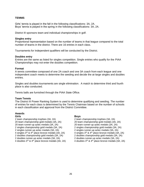#### **TENNIS**

Girls' tennis is played in the fall in the following classifications: 3A, 2A. Boys' tennis is played in the spring in the following classifications: 3A, 2A.

District III sponsors team and individual championships in golf.

#### **Singles entry**

Proportional representation based on the number of teams in that league compared to the total number of teams in the district. There are 16 entries in each class.

Tournaments for Independent qualifiers will be conducted by the District.

#### **Doubles entry**

Entries are the same as listed for singles competition. Single entries who qualify for the PIAA Championships may not enter the doubles competition.

#### **Format**

A tennis committee composed of one 2A coach and one 3A coach from each league and one independent coach meets to determine the seeding and decide the at-large singles and doubles entries.

Singles and doubles tournaments are single elimination. A match to determine third and fourth place is also conducted.

Tennis balls are furnished through the PIAA State Office.

#### **Team Tennis**

The District III Power Ranking System is used to determine qualifying and seeding. The number of entries for each class is determined by the Tennis Chairman based on the number of schools in each classification and approval from the District Committee.

# **Awards**

2 team championship trophies (3A, 2A) 2 team championship trophies (3A, 2A) 20 team championship gold medals (3A, 2A) 20 team championship gold medals (3A, 2A) 20 team runner-up aztec medals (3A, 2A) 20 team runner-up aztec medals (3A, 2A) 2 singles championship gold medals (3A, 2A) 2 singles championship gold medals (3A, 2A) 2 singles runner-up aztec medals (3A, 2A) 4 singles  $3^{\text{rd}}$  & 4<sup>th</sup> place bronze medals (3A, 2A)  $\hspace{1cm}$  4 singles  $3^{\text{rd}}$  & 4 2 doubles championship gold medals (3A, 2A) 2 doubles championship gold medals (3A, 2A) 2 doubles runner-up aztec medals (3A, 2A) 2 doubles runner-up aztec medals (3A, 2A) 4 doubles  $3^{\text{rd}}$  & 4<sup>th</sup> place bronze medals (3A, 2A)  $\hspace{1cm}$  4 doubles  $3^{\text{rd}}$  & 4

#### **Girls Boys**

4 singles  $3^{rd}$  & 4<sup>th</sup> place bronze medals (3A, 2A) 4 doubles  $3^{rd}$  & 4<sup>th</sup> place bronze medals (3A, 2A)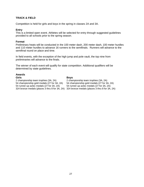## **TRACK & FIELD**

Competition is held for girls and boys in the spring in classes 2A and 3A.

#### **Entry**

This is a limited open event. Athletes will be selected for entry through suggested guidelines provided to all schools prior to the spring season.

#### **Format**

Preliminary heats will be conducted in the 100 meter dash, 200 meter dash, 100 meter hurdles and 110 meter hurdles to advance 16 runners to the semifinals. Runners will advance to the semifinal round on place and time.

In field events, with the exception of the high jump and pole vault, the top nine from preliminaries will advance to the finals.

The winner of each event will qualify for state competition. Additional qualifiers will be determined by state guidelines.

## **Awards**

#### **Girls Boys**

2 championship team trophies (3A, 2A) 2 championship team trophies (3A, 2A)<br>54 championship gold medals (27 for 3A, 2A) 54 championship gold medals (27 for 3A, 2A) 54 championship gold medals (27 for 3A, 2A) 54 championship gold medals (27 for 3A, 254 runner-up aztec medals (27 for 3A, 2A) 54 runner-up aztec medals (27 for 3A, 2A) 324 bronze medals (places 3 thru 8 for 3A, 2A) 324 bronze medals (places 3 thru 8 for 3A, 2A)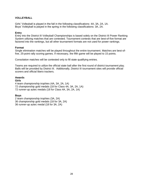## **VOLLEYBALL**

Girls' Volleyball is played in the fall in the following classifications: 4A, 3A, 2A, 1A. Boys' Volleyball is played in the spring in the following classifications: 3A, 2A.

#### **Entry**

Entry into the District III Volleyball Championships is based solely on the District III Power Ranking System utilizing matches that are contested. Tournament contests that are best-of-five format are factored into the rankings, but all other tournament formats are not used for power rankings.

#### **Format**

Single elimination matches will be played throughout the entire tournament. Matches are best-offive, 25-point rally scoring games. If necessary, the fifth game will be played to 15 points.

Consolation matches will be contested only to fill state qualifying entries.

Teams are required to utilize the official state ball after the first round of district tournament play. Balls will be provided by District III. Additionally, District III tournament sites will provide official scorers and official libero trackers.

#### **Awards**

#### **Girls**

4 team championship trophies (4A, 3A, 2A, 1A) 72 championship gold medals (18 for Class 4A, 3A, 2A, 1A) 72 runner-up aztec medals (18 for Class 4A, 3A, 2A, 1A)

#### **Boys**

2 team championship trophies (3A, 2A) 36 championship gold medals (18 for 3A, 2A) 36 runner-up aztec medal (18 for 3A, 2A)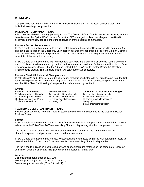#### <span id="page-31-0"></span>**WRESTLING**

Competition is held in the winter in the following classifications: 3A, 2A. District III conducts team and individual wrestling championships.

#### **INDIVIDUAL TOURNAMENT - Entry**

All schools are allowed one entry per weight class. The District III Coach's Individual Power Ranking formula is available on the Optimal Performance Calculator (OPC managed by Trackwrestling) and is utilized to accomplish preliminary seeding under the supervision of the section site managers.

#### **Format – Section Tournaments**

In 2A, a single elimination format with a place match between the semifinal losers is used to determine 3rd and 4th place in each of the 3 sections. Each section advances the top three places to the 12-man District III Class 2A Wrestling Championships bracket. The 4th place finisher at each weight will serve as the first substitute at that weight, if necessary.

In 3A, a single elimination format with wrestlebacks starting with the quarterfinal losers is used to determine the top 6 places. Preliminary round (round of 16) losers are eliminated from further competition. Each of the 4 sections advances places 1-4 to the 16-man District III 3A / PIAA South Central Region 3A Wrestling Championship bracket. The 5th place finisher will serve as the 1st substitute.

#### **Format – District III Individual Championship**

In both Class 2A and Class 3A, a double-elimination format is conducted with full wrestlebacks from the first round to the place round. The number of qualifiers to the PIAA Class 2A Southeast Region Tournanment and the PIAA Class 3A Wrestling Championships is determined by the PIAA.

#### **Awards**

112 championship gold medals 14 championship gold medals 14 championship gold medals 112 runner-up aztec medals 14 runner-up aztec medals 14 runner-up aztec medals 4<sup>th</sup> place in 2A and 3A 3

 $3<sup>rd</sup>$  through  $8<sup>th</sup>$  through  $6<sup>th</sup>$ 

**Section Tournaments District III Class 2A District III 3A / South Central Region**

224 bronze medals for  $3^{\text{rd}}$  and 84 bronze medals for places 56 bronze medals for places  $3^{\text{rd}}$ 1 team championship trophy

#### **TEAM DUAL MEET CHAMPIONSHIP - Entry**

Sixteen Class 3A teams and eight Class 2A teams are selected and seeded using the District III Power Ranking System.

#### **Format**

In 2A, a single elimination format is used. Semifinal losers wrestle a third-place match; the third place team advances to the PIAA Class 2A Team Wrestling Championships along with the champion and runner-up.

The top two Class 2A seeds host quarterfinal and semifinal matches on the same date. Class 2A championships and third-place match are hosted at a neutral site.

In 3A, a single elimination format is used. Wrestlebacks are conducted beginning with quarterfinal losers to determine third and fourth place for PIAA Class 3A Team Wrestling Championship entries.

The top 4 seeds in Class 3A host preliminary and quarterfinal round matches on the same date. Class 3A semifinals, championships and third-place match are hosted at neutral sites.

#### **Awards**

2 championship team trophies (3A, 2A) 50 championship gold medals (25 for 3A and 2A) 50 runner-up aztec medals (25 for 3A and 2A)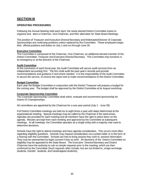# **SECTION III**

#### **OPERATING PROCEDURES**

Following the Annual Meeting held each April, the newly elected District Committee meets to organize and elect a Chairman, Vice Chairman, and their alternates for State Board Meetings.

The position of Treasurer and Executive Director/Secretary and Webmaster/Director of Corporate Sponsorships are continuing positions unless replaced by the Committee. These employees begin their official positions and duties on July 1 and run through June 30.

#### **Executive Committee**

This Committee is composed of the Chairman, Vice Chairman, an additional elected member of the District Committee, Treasurer and Executive Director/Secretary. This Committee only functions in an emergency or at the direction of the Chairman.

#### **Audit Committee**

At the conclusion of each fiscal year, the Audit Committee will secure audit services from an independent accounting firm. The firm shall audit the past year's records and provide recommendations and guidance if and where needed. It is the responsibility of the Audit Committee to secure the service, to receive the report and to make recommendations to the District Committee.

#### **Budget Committee**

Each year the Budget Committee in conjunction with the District Treasurer will prepare a budget for the coming year. The budget shall be approved by the District Committee at its August workshop.

#### **Corporate Sponsorship Committee**

The Corporate Sponsorship Committee shall solicit, evaluate and recommend sponsorship for District III Championships.

All committees are appointed by the Chairman for a one-year period (July 1 - June 30).

Full District Committee meetings are held six to eight times a year with dates determined at the organizational meeting. Special meetings may be called by the Chairman if the need arises. Agendas are provided for each meeting and all members have the right to place items on the agenda. Minutes are kept from each meeting and approved by the Committee at subsequent meetings. At all meetings, the Committee operates as a single entity with a majority vote used to determine decisions.

Schools have the right to attend meetings and have agenda consideration. This occurs most often regarding eligibility questions. Schools may request consideration via a written letter or in the form of a hearing with the Committee. Schools are free to bring anyone they wish to present information. They may be represented by legal counsel if they so wish. All decisions of the District Committee on eligibility may be appealed to the State Board. The Executive Director/Secretary and District Chairman have the authority to rule on simple requests prior to the meeting, which are then confirmed by the Committee (Such requests often include, but are not limited to, oreign exchange students, transfer students, and handicapped students).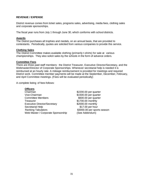#### **REVENUE / EXPENSE**

District revenue comes from ticket sales, programs sales, advertising, media fees, clothing sales and corporate sponsorships.

The fiscal year runs from July 1 through June 30, which conforms with school districts.

#### **Awards**

The District purchases all trophies and medals, on an annual basis, that are provided to contestants. Periodically, quotes are solicited from various companies to provide this service.

#### **Clothing Sales**

The District Committee makes available clothing (primarily t-shirts) for sale at various championships. They also solicit sales by the schools in the form of advance orders.

#### **Committee Fees**

There are three paid staff members: the District Treasurer, Executive Director/Secretary, and the Webmaster/Director of Corporate Sponsorships. Whenever secretarial help is needed it is reimbursed at an hourly rate. A mileage reimbursement is provided for meetings and required District work. Committee member payments will be made at the September, December, February, and April Committee meetings. (Fees will be evaluated periodically)

A complete listing of fees follows:

#### **Officers**

- Chairman \$2200.00 per quarter Vice-Chairman  $$1500.00$  per quarter Committee Members **\$600.00 per quarter** Treasurer \$1700.00 monthly Executive Director/Secretary \$2000.00 monthly Secretarial Help \$17.00 per hour Ranking Tabulators **\$3000.00 per sports season** Web Master / Corporate Sponsorship (See Addendum)
-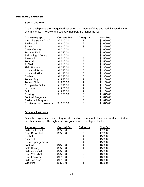#### **REVENUE / EXPENSE**

## **Sports Chairmen**

Chairmanship fees are categorized based on the amount of time and work invested in the chairmanship. The lower the category number, the higher the fee.

| Chairman / sport           | <u>Current Fee</u> | <b>Category</b> | <u>New Fee</u> |
|----------------------------|--------------------|-----------------|----------------|
| Wrestling (team & ind)     | \$2,300.00         | 1               | \$2,650.00     |
| <b>Basketball</b>          | \$1,600.00         | 2               | \$2,000.00     |
| Soccer                     | \$1,400.00         | 3               | \$1,850.00     |
| Cross-Country              | \$1,200.00         | 4               | \$1,600.00     |
| <b>Track &amp; Field</b>   | \$1,250.00         | 4               | \$1,600.00     |
| Swimming & Diving          | \$1,300.00         | 4               | \$1,600.00     |
| <b>Baseball</b>            | \$1,300.00         | 5               | \$1,500.00     |
| Football                   | \$1,300.00         | 5               | \$1,500.00     |
| Softball                   | \$1,300.00         | 5               | \$1,500.00     |
| <b>Field Hockey</b>        | \$1,050.00         | 6               | \$1,300.00     |
| Volleyball, Boys           | \$1,050.00         | 6               | \$1,300.00     |
| Volleyball, Girls          | \$1,150.00         | 6               | \$1,300.00     |
| Clothing                   | \$1,050.00         | 6               | \$1,300.00     |
| Tennis, Boys               | \$<br>950.00       | $\overline{7}$  | \$1,100.00     |
| Tennis, Girls              | \$<br>950.00       | $\overline{7}$  | \$1,100.00     |
| <b>Competitive Spirit</b>  | \$<br>650.00       | 7               | \$1,100.00     |
| Lacrosse                   | \$<br>900.00       | $\overline{7}$  | \$1,100.00     |
| Golf                       | \$<br>950.00       | 7               | \$1,100.00     |
| <b>Bowling</b>             | \$<br>750.00       | 8               | \$<br>875.00   |
| <b>Football Programs</b>   |                    | 8               | \$<br>875.00   |
| <b>Basketball Programs</b> |                    | 8               | \$<br>875.00   |
| Sportsmanship / Awards     | \$<br>650.00       | 8               | \$<br>875.00   |

## **Officials Assignors**

Officials assignors fees are categorized based on the amount of time and work invested in the chairmanship. The higher the category number, the higher the fee.

| Assignor / sport        | <b>Current Fee</b> | Category | <b>New Fee</b> |
|-------------------------|--------------------|----------|----------------|
| <b>Girls Basketball</b> | \$650.00           | 5        | \$750.00       |
| <b>Boys Basketball</b>  | \$650.00           | 5        | \$750.00       |
| Softball                |                    | 4        | \$500.00       |
| <b>Baseball</b>         |                    |          | \$500.00       |
| Soccer (per gender)     |                    | 4        | \$500.00       |
| Football                | \$450.00           | 4        | \$650.00       |
| <b>Field Hockey</b>     | \$350.00           | 4        | \$500.00       |
| <b>Girls Volleyball</b> | \$250.00           | 3        | \$500.00       |
| <b>Boys Volleyball</b>  | \$250.00           | 2        | \$300.00       |
| <b>Boys Lacrosse</b>    | \$175.00           | 2        | \$300.00       |
| <b>Girls Lacrosse</b>   | \$175.00           | 2        | \$300.00       |
| Wrestling               | \$250.00           |          | \$500.00       |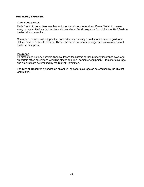#### **REVENUE / EXPENSE**

#### **Committee passes**

Each District III committee member and sports chairperson receives fifteen District III passes every two-year PIAA cycle. Members also receive at District expense four tickets to PIAA finals in basketball and wrestling.

Committee members who depart the Committee after serving 1 to 4 years receive a gold-tone lifetime pass to District III events. Those who serve five years or longer receive a clock as well as the lifetime pass.

#### **Insurance**

To protect against any possible financial losses the District carries property insurance coverage on certain office equipment, wrestling clocks and track computer equipment. Items for coverage and amounts are determined by the District Committee.

The District Treasurer is bonded on an annual basis for coverage as determined by the District Committee.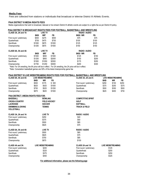#### **Media Fees**

Fees are collected from stations or individuals that broadcast or televise District III Athletic Events.

#### **PIAA DISTRICT III MEDIA RIGHTS FEES**

Media organizations that wish to broadcast, telecast or live stream District III athletic events are subject to a rights fee as per District III policy.

#### **PIAA DISTRICT III BROADCAST RIGHTS FEES FOR FOOTBALL, BASKETBALL AND WRESTLING**

| CLASS 3A, 2A and 1A       |            | <b>LIVE TV</b> |        | RADIO / AUDIO        |       |
|---------------------------|------------|----------------|--------|----------------------|-------|
|                           | <b>BKB</b> | WR*            | FB     | <b>BKB/WR</b>        | FB.   |
| First round / preliminary | \$500      | \$275          | \$500  | \$75                 | \$75  |
| Quarterfinals             | \$750      | \$475          | \$750  | \$100                | \$100 |
| Semifinals                | \$1000     | \$675          | \$1000 | \$125                | \$125 |
| Championship              | \$1250     | \$875          | \$1500 | \$150                | \$150 |
| CLASS 6A, 5A and 4A       |            | <b>LIVE TV</b> |        | <b>RADIO / AUDIO</b> |       |
|                           | <b>BKB</b> | WR*            | FB     | <b>BKB/WR</b>        | FB    |
| First round / preliminary | \$1000     | \$650          | \$1500 | \$125                | \$150 |
| Quarterfinals             | \$1250     | \$850          | \$2000 | \$150                | \$200 |
| Semifinals                | \$1500     | \$1050         | \$2500 | \$175                | \$250 |
| Championship              | \$1750     | \$1250         | \$3000 | \$200                | \$300 |

\*Note: For 3A wrestling, the 6A price will be in effect. For 2A wrestling, the 2A price will be in effect.

\*Note: Consolation basketball games are 50% of the listed championship game fee

#### **PIAA DISTRICT III LIVE WEBSTREAMING RIGHTS FEES FOR FOOTBALL, BASKETBALL AND WRESTLING**

| CLASS 6A, 5A and 4A                               | <b>LIVE WEBSTREAMING</b> |                          |                     | CLASS 3A, 2A and A        | <b>LIVE WEBSTREAMING</b> |                          |       |
|---------------------------------------------------|--------------------------|--------------------------|---------------------|---------------------------|--------------------------|--------------------------|-------|
|                                                   | <b>BKB</b>               | <b>WR</b>                | FB                  |                           | <b>BKB</b>               | <b>WR</b>                | FB.   |
| First round / preliminary                         | \$500                    | \$175                    | \$500               | First round / preliminary | \$250                    | \$150                    | \$250 |
| Quarterfinals                                     | \$625                    | \$425                    | \$1000              | Quarterfinals             | \$375                    | \$250                    | \$375 |
| Semifinals                                        | \$750                    | \$525                    | \$1250              | Semifinals                | \$500                    | \$350                    | \$500 |
| Championship                                      | \$875                    | \$625                    | \$1500              | Championship              | \$625                    | \$450                    | \$750 |
| <b>PIAA DISTRICT 3 MEDIA RIGHTS FEES FOR:</b>     |                          |                          |                     |                           |                          |                          |       |
| <b>BASEBALL</b>                                   |                          | <b>BOWLING</b>           |                     | <b>COMPETITIVE SPIRIT</b> |                          |                          |       |
| <b>CROSS-COUNTRY</b>                              |                          |                          | <b>FIELD HOCKEY</b> | <b>GOLF</b>               |                          |                          |       |
| <b>LACROSSE</b>                                   |                          | <b>SOCCER</b>            |                     | <b>SOFTBALL</b>           |                          |                          |       |
| <b>SWIMMING &amp; DIVING</b><br><b>VOLLEYBALL</b> |                          | <b>TENNIS</b>            |                     | <b>TRACK &amp; FIELD</b>  |                          |                          |       |
| CLASS 3A, 2A and 1A                               |                          | <b>LIVE TV</b>           |                     | RADIO / AUDIO             |                          |                          |       |
| First round / preliminary                         |                          | \$250                    |                     | \$40                      |                          |                          |       |
| Quarterfinals                                     |                          | \$375                    |                     | \$50                      |                          |                          |       |
| Semifinals                                        |                          | \$500                    |                     | \$65                      |                          |                          |       |
| Championship                                      |                          | \$625                    |                     | \$75                      |                          |                          |       |
| CLASS 6A, 5A and 4A                               |                          | <b>LIVE TV</b>           |                     | RADIO / AUDIO             |                          |                          |       |
| First round / preliminary                         |                          | \$500                    |                     | \$65                      |                          |                          |       |
| Quarterfinals                                     |                          | \$625                    |                     | \$75                      |                          |                          |       |
| Semifinals                                        |                          | \$750                    |                     | \$85                      |                          |                          |       |
| Championship                                      |                          | \$875                    |                     | \$100                     |                          |                          |       |
| CLASS 4A and 3A                                   |                          | <b>LIVE WEBSTREAMING</b> |                     | CLASS 2A and 1A           |                          | <b>LIVE WEBSTREAMING</b> |       |
| First round / preliminary                         |                          | \$250                    |                     | First round / preliminary |                          | \$125                    |       |
| Quarterfinals                                     |                          | \$325                    |                     | Quarterfinals             |                          | \$200                    |       |
| Semifinals                                        |                          | \$375                    |                     | Semifinals                |                          | \$250                    |       |
| Championship                                      |                          | \$450                    |                     | Championship              |                          | \$325                    |       |
|                                                   |                          |                          |                     |                           |                          |                          |       |

 **For additional information, please see the following page**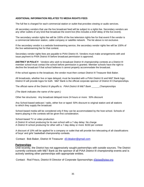#### **ADDITIONAL INFORMATION RELATED TO MEDIA RIGHTS FEES**

The full fee is charged for each commercial station or outlet that provides viewing or audio services.

All secondary vendors that use the live broadcast feed will be subject to a rights fee. Secondary vendors are any other outlets of any kind that broadcast the event live (this includes a brief delay of the live event).

The secondary vendor rights fee will be 100% of the live television rights fee for that event if the vendor is a commercial television station, cable company or satellite network. The list above is not exclusive.

If the secondary vendor is a website livestreaming service, the secondary vendor rights fee will be 100% of the live webstreaming fee for that contest.

Secondary vendor rights fees are payable to PIAA District III. Vendors must make arrangements with and issue payment to PIAA District III before broadcast permission is approved.

**DISTRICT III POLICY:** Vendors who wish to broadcast District III championship contests at a District III member school must contact the school before permission is granted. Member schools have the right to decline the broadcast if that school believes it cannot properly accommodate the broadcast.

If the school agrees to the broadcast, the vendor must then contact District III Treasurer Bob Baker.

All broadcasts, whether live or tape delayed, must be branded with a PIAA District III and M&T Bank logo; District III will provide logos for both. M&T Bank is the official corporate sponsor of District III Championships.

The official name of the District III playoffs is: *PIAA District III M&T Bank Championships*

*(The blank indicates the name of the sport.)*

Other fee structures: Any broadcast delayed more 24 hours or more: 50% discount

Any School-based webcast / radio, either live or taped: 50% discount to original station and all stations to which they supply the broadcast

School-based media will be considered only if they can be accommodated by the host school. Schools of teams playing in the contests will be given first consideration.

School-based TV or video production

A District III school producing for its own school with a 7-day delay: No charge

A District III school producing for other with a 7-day delay or more: \$150 per contest

A discount of 10% will be applied for a company or outlet that will provide live telecasting of all classifications of boys' and girls' basketball championship contests.

Contact: Bob Baker, District III Treasurer [d3.bbaker@gmail.com](mailto:d3.bbaker@gmail.com)

#### **Partnerships**

Until recently, the District has not aggressively sought partnerships with outside sources. The District currently contracts with M&T Bank as the sponsor of all PIAA District III championship events and is actively seeking other partnerships with appropriate entities.

Contact: Rod Frisco, District III Director of Corporate Sponsorships [d3piaa@piaa.org](mailto:d3piaa@piaa.org)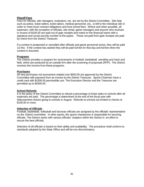#### **Playoff Fees**

Fees for officials, site managers, evaluators, etc. are set by the District Committee. Site help such as police, ticket sellers, ticket takers, medical personnel, etc., is left to the individual site in order to meet local contract obligations and host school fees. Where and when possible, all expenses, with the exception of officials, site rental, game managers and anyone who receives in excess of \$100.00 are paid out of gate receipts and noted on the financial report with a signature and social security number of the payee. Those not paid from gate receipts are paid by check from the District Treasurer.

If a contest is postponed or cancelled after officials and game personnel arrive, they will be paid 1/2 fee. If the contest has started they will be paid full fee for that day and full fee when the contest is resumed.

#### **Programs**

The District provides a program for tournaments in football, basketball, wrestling and track and field, which are produced by an outside firm after the screening of proposals (RFP). The District receives the income from these programs.

#### **Purchases**

All new purchases not tournament related over \$500.00 are approved by the District Committee with payment from an invoice by the District Treasurer. Sports Chairmen have a credit card with \$1500.00 permissible use. The Executive Director and the Treasurer are permitted up to \$2500.00.

#### **School Refunds**

It is the policy of the District Committee to refund a percentage of ticket sales to schools after all expenses are paid. The percentage is determined at the end of the fiscal year with disbursement checks going to schools in August. Refunds to schools are limited to checks of \$100.00 or more.

#### **Selection of Officials**

Football, basketball, volleyball and lacrosse officials are assigned by the officials' representative on the District committee. In other sports, the sports chairperson is responsible for securing officials. The District works with various officials' chapters within the District in an effort to secure the best officials.

Selection of all officials is based on their ability and availability. The procedure shall conform to standards adopted by the State Office and will be non-discriminatory.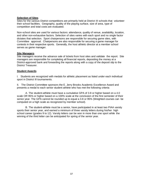#### **Selection of Sites**

Sites for the various District competitions are primarily held at District III schools that volunteer their school facilities. Geography, quality of the playing surface, size of area, type of competition and total costs are evaluated.

Non-school sites are used for various factors: attendance, quality of venue, availability, location, and other non-exhaustive factors. Selection of sites varies with each sport and no single factor dictates that selection. Sport chairpersons are responsible for securing game sites, with Committee approval. Chairpersons are also responsible for securing a game manager for contests in their respective sports. Generally, the host athletic director at a member school serves as game manager.

#### **Site Managers**

Site managers receive the advance sale of tickets from host sites and validate the report. Site managers are responsible for completing all financial reports, depositing the money at a District-approved bank and forwarding the reports along with a copy of the deposit slip to the District Treasurer.

#### **Student Awards**

I. Students are recognized with medals for athletic placement as listed under each individual sport in District III tournaments.

II. The District Committee sponsors the E. Jerry Brooks Academic Excellence Award and presents a medal to each senior student athlete who has met the following criteria:

A. The student-athlete must have a cumulative GPA of 3.8 or higher based on a 4.0 scale OR 95% or higher based on a 100% scale at the conclusion of the first semester of their senior year. The GPA cannot be rounded up to equal a 3.8 or 95% (Weighted courses can be computed on a high scale as recognized by member school).

B. The student-athlete must be a senior, have participated in at least two PIAA varsity sports their senior year, and earned a minimum of three varsity letters during his/her high school career (grades 9 to 12). Varsity letters can be won in more than one sport while the winning of the third letter can be anticipated for spring of the senior year.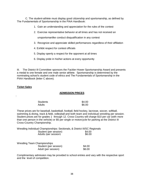C. The student-athlete must display good citizenship and sportsmanship, as defined by The Fundamentals of Sportsmanship in the PIAA Handbook:

- 1. Gain an understanding and appreciation for the rules of the contest
- 2. Exercise representative behavior at all times and has not received an

unsportsmanlike conduct disqualification in any contest

- 3. Recognize and appreciate skilled performances regardless of their affiliation
- 4. Exhibit respect for contest officials
- 5. Display openly a respect for the opponent at all times
- 6. Display pride in his/her actions at every opportunity

III. The District III Committee sponsors the Fackler-Hower Sportsmanship Award and presents a medal to one female and one male senior athlete. Sportsmanship is determined by the nominating school's student code of ethics and The Fundamentals of Sportsmanship in the PIAA Handbook (letter C above).

#### **Ticket Sales**

:

#### **ADMISSION PRICES**

| <b>Students</b> | \$4.00 |
|-----------------|--------|
| Adults          | \$6.00 |

These prices are for baseball, basketball, football, field hockey, lacrosse, soccer, softball, swimming & diving, track & field, volleyball and both team and individual wrestling per session. Student prices are for grades 1 through 12. Cross Country will charge \$10 per car (with more than one person in the vehicle) or \$5 per single or motorcycle for parking at the District III Cross-Country Championship.

Wrestling Individual Championships: Sectionals, & District III/SC Regionals Student (per session)  $$4.00$ <br>Adults (per session)  $$6.00$ Adults (per session) \$6.00

| <b>Wrestling Team Championships</b> |        |
|-------------------------------------|--------|
| Student (per session)               | \$4.00 |
| Adult (per session)                 | \$6.00 |

Complimentary admission may be provided to school entries and vary with the respective sport and the level of competition.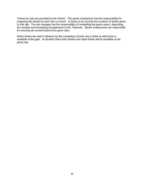Tickets for sale are provided by the District. The sports chairperson has the responsibility for preparing the tickets for each site or school. In doing so he records the numbers of tickets given to that site. The site manager has the responsibility of completing the game report, depositing the receipts and forwarding all paperwork to the Treasurer. Sports chairpersons are responsible for securing all unused tickets from game sites.

When tickets are sold in advance by the competing schools only a ticket at adult price is available at the gate. At all other times both student and adult tickets will be available at the game site.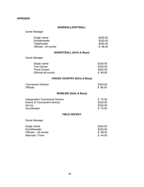#### **APPENDIX**

#### **BASEBALL/SOFTBALL**

Game Manager

<span id="page-42-0"></span>

| Single Game<br>Doubleheader<br>Tripleheader<br>Officials - all rounds  | \$100.00<br>\$150.00<br>\$200.00<br>\$88.00 |
|------------------------------------------------------------------------|---------------------------------------------|
| <b>BASKETBALL (Girls &amp; Boys)</b>                                   |                                             |
| Game Manager                                                           |                                             |
| Single Game<br>Two Games<br><b>Three Games</b><br>Officials-all rounds | \$100.00<br>\$150.00<br>\$200.00<br>\$88.00 |
| CROSS COLINTRY (Girls & Roys)                                          |                                             |

# **CROSS COUNTRY (Girls & Boys)**

| <b>Tournament Director</b> | \$150.00 |
|----------------------------|----------|
| <b>Officials</b>           | \$88.00  |

# **BOWLING (Girls & Boys)**

<span id="page-42-1"></span>

| Independent Tournament Director         | \$75.00  |
|-----------------------------------------|----------|
| <b>District III Tournament Director</b> | \$150.00 |
| Set Up                                  | \$150.00 |
| Scorekeeper                             | \$75.00  |
|                                         |          |

#### **FIELD HOCKEY**

Game Manager

| \$100.00 |
|----------|
| \$150.00 |
| \$ 88.00 |
| \$44.00  |
|          |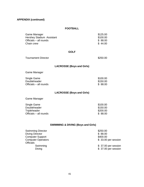## **APPENDIX (continued)**

#### **FOOTBALL**

| Game Manager              | \$125.00 |
|---------------------------|----------|
| Hershey Stadium Assistant | \$100.00 |
| Officials – all rounds    | \$88.00  |
| Chain crew                | \$44.00  |
|                           |          |

#### **GOLF**

| <b>Tournament Director</b> | \$250.00 |
|----------------------------|----------|
|                            |          |

# **LACROSSE (Boys and Girls)**

Game Manager

| Single Game            | \$100.00 |
|------------------------|----------|
| Doubleheader           | \$150.00 |
| Officials – all rounds | \$ 88.00 |

# **LACROSSE (Boys and Girls)**

Game Manager

| Single Game            | \$100.00 |
|------------------------|----------|
| Doubleheader           | \$150.00 |
| Tripleheader           | \$200.00 |
| Officials – all rounds | \$ 88.00 |

# **SWIMMING & DIVING (Boys and Girls)**

| \$250.00            |
|---------------------|
| \$88.00             |
| \$400.00            |
| \$33.00 per session |
|                     |
| \$37.00 per session |
| \$37.00 per session |
|                     |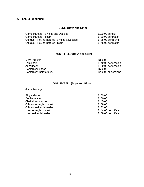## **APPENDIX (continued)**

## **TENNIS (Boys and Girls)**

| Game Manager (Singles and Doubles)             | \$100.00 per day   |
|------------------------------------------------|--------------------|
| Game Manager (Team)                            | \$ 30.00 per match |
| Officials – Roving Referee (Singles & Doubles) | \$ 85.00 per round |
| Officials – Roving Referee (Team)              | \$45.00 per match  |

## **TRACK & FIELD (Boys and Girls)**

Meet Director \$350.00 Table help  $$ 40.00 \text{ per session}$ Announcer \$ 60.00 per session Computer Support \$500.00 Computer Operators (2) 6 (2) \$250.00 all sessions

#### **VOLLEYBALL (Boys and Girls)**

Game Manager

Single Game \$100.00 Doubleheader \$150.00<br>Clerical assistance \$45.00 Clerical assistance Officials – single contest  $$88.00$ <br>Officials – doubleheader  $$132.00$ Officials – doubleheader  $$132.00$ <br>Lines – single contest  $$44.00$  non official Lines – single contest  $\frac{1}{2}$  Lines – single contest  $\frac{1}{2}$  and  $\frac{1}{2}$  and  $\frac{1}{2}$  and  $\frac{1}{2}$  and  $\frac{1}{2}$  and  $\frac{1}{2}$  and  $\frac{1}{2}$  and  $\frac{1}{2}$  and  $\frac{1}{2}$  and  $\frac{1}{2}$  and  $\frac{1}{2}$  and  $\frac{1}{2}$  an  $Lines - double header$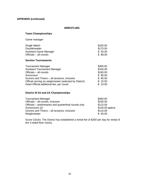# **APPENDIX (continued)**

#### **WRESTLING**

## **Team Championships**

Game manager

| Single Match           | \$100.00 |
|------------------------|----------|
| Doubleheader           | \$175.00 |
| Assistant Game Manager | \$ 50.00 |
| Officials - all rounds | \$ 88.00 |

## **Section Tournaments**

| <b>Tournament Manager</b>                              | \$300.00 |
|--------------------------------------------------------|----------|
| <b>Assistant Tournament Manager</b>                    | \$150.00 |
| Officials - all rounds                                 | \$165.00 |
| Announcer                                              | \$85.00  |
| Scorers and Timers - all sessions, inclusive           | \$85.00  |
| Official serving as weighmaster (selected by District) | \$10.00  |
| Head Official additional fee, per round                | \$10.00  |

# **District III 3A and 2A Championships**

| <b>Tournament Manager</b>                              | \$450.00        |
|--------------------------------------------------------|-----------------|
| Officials - all rounds, inclusive                      | \$230.00        |
| Officials – preliminaries and quarterfinal rounds only | \$115.00        |
| Announcers (2)                                         | \$130.00 apiece |
| Scorers and Timers - all sessions, inclusive           | \$115.00        |
| Weighmaster                                            | \$60.00         |

Score Clocks: The District has established a rental fee of \$200 per day for rental of the 4-sided floor clocks.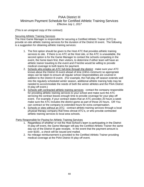# PIAA District III Minimum Payment Schedule for Certified Athletic Training Services *Effective July 1, 2017*

(This is an unsigned copy of the contract)

#### **Securing Athletic Training Services**

The Host Game Manager is responsible for securing a Certified Athletic Trainer (ATC) to provide on-site athletic training services for the duration of the District III event. The following is a suggestion for obtaining athletic training services:

- 1. The first option should be given to the Host ATC that provides athletic training services to site. If there is no ATC at the Host site, or the ATC is unavailable, the second option is for the Game Manager to contact the schools competing in the event, the home team first, then visitors, to determine if either team will have an athletic trainer traveling to the event and if he/she would be willing to provide medical coverage to both teams for payment.
- 2. Schools who employ an ATC full-time through the district: make sure your ATC knows about the District III event ahead of time (24hrs minimum) so appropriate steps can be taken to ensure all regular school responsibilities are covered in addition to the District III event. (For example, the Fall play-off season extends well into the regularly scheduled winter season, additional athletic training help may be needed to accommodate the needs of both the winter athletes and the PIAA District III play-off event.)
- 3. Schools with contracted athletic training services: contact the company responsible for providing athletic training services to your school and make sure the ATC servicing the contract leaves enough time to provide coverage for your play-off event. For example, if your contract states that an ATC provides 20 hours a week make sure the ATC includes the district game as part of those 20 hours. OR You can contract w/ the company to extended hours for extra compensation.
- 4. Schools or sites without an ATC: contract athletic training services through a local physical therapy company that hires clinical ATC's, or who provide contracted athletic training services to local area schools.

Party Responsible for Paying for Athletic Training Services

- 1. Regardless of whether or not the Host School's team is participating in the District III play-off event, the Game Manager will pay the Certified Athletic Trainer the same day out of the District III gate receipts. In the event that the payment amount is over \$100., a check will be issued and mailed.
- 2. No mileage reimbursement is provided to the Certified Athletic Trainer providing medical coverage at the PIAA District III play-off event.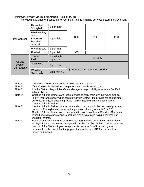#### Minimum Payment Schedule for Athletic Training Services

## The following is payment schedule for Certified Athletic Training services determined by event

|                                   | <b>Basketball</b><br>Volleyball                                          | 1 per court             |                                   |          |       |  |  |
|-----------------------------------|--------------------------------------------------------------------------|-------------------------|-----------------------------------|----------|-------|--|--|
| Per Contest                       | <b>Field Hockey</b><br>Soccer<br>Lacrosse<br><b>Baseball</b><br>Softball | per field               | \$60                              | \$100    | \$140 |  |  |
|                                   | Wrestling dual                                                           | per mat                 |                                   |          |       |  |  |
|                                   | Football                                                                 | per field               | \$85                              |          |       |  |  |
| All Day<br>Events/<br>Tournaments | <b>Tennis</b><br>Golf                                                    | 1 available<br>per site |                                   | \$80/day |       |  |  |
|                                   | Swim/dive                                                                | 1 per pool              |                                   |          |       |  |  |
|                                   | Wrestling<br><b>Sectionals</b>                                           | 1per mat +1             | \$25/hour (Maximum \$250 per/day) |          |       |  |  |

Note A: This fee is paid only to Certified Athletic Trainers (ATCs)

Note B: "One Contest" is defined as one game, meet, match, session, etc.

- Note C: It is the District III-appointed Game Manager's responsibility to secure a Certified Athletic Trainer.
- Note D: Certified Athletic Trainers are recommended to carry their own individual medical liability insurance policy while contracting with District III to provide athletic training services. District III does not provide medical liability insurance coverage for Certified Athletic Trainers.
- Note E: Certified Athletic Trainers are recommended to work within their scope of practice, under the Pennsylvania license and supervision of a physician (MD or DO). Certified Athletic Trainers are encouraged to have established Standard Operating Procedures with a physician that include providing athletic training coverage at District III events.
- Note F: Regardless of whether or not the Host School's team is participating in the District III play-off event, the Game Manager will pay the Certified Athletic Trainer the same day out of the District III gate receipts, as is the case for officials and game personnel. In the event that the payment amount is over \$100.a check will be issued and mailed.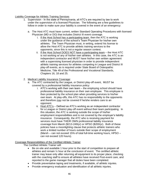#### Liability Coverage for Athletic Training Services

- 1. Supervision In the state of Pennsylvania, all ATC's are required by law to work under the supervision of a licensed Physician. The following are a few guidelines to follow in order to make sure your liability is covered in the event of an emergency:
	- a. The Host ATC must have current, written Standard Operating Procedures with licensed Physician (MD or DO) that includes District III event coverage.
		- i. If the Host School has a participating team, then the ATC is working under the guidance of the school's Team Physician for his/her own athletes. The Team Physician must, in writing, extend his license to allow the Host ATC to provide athletic training services to the opponents, since this is not a regular season contest.
		- ii. If the Host School DOES NOT have a participating team the Host ATC is not working w/ any of his/her own athletes. In this case, the ATC is an independent contractor and MUST have his/her own written agreement with a supervising licensed physician in order to provide independent athletic training services for athletes competing in League and District III play-off events, as is required under State Board of Osteopathic Medicine, Title 49 of the Professional and Vocational Standards, Chapters 16, 18 and 25.
- 2. Medical Liability Insurance Coverage:
	- a. The ATC contracted by the League, or District play-off event, MUST be covered by a professional liability insurance policy:
		- i. ATC's working with their own team the employing school should have professional liability insurance on their own employee. This employee is then protected by the school plan when providing services to his/her own team. At play-offs, this ATC has no responsibility to the opponents and therefore may not be covered if he/she renders care to an opponent.
		- ii. Host ATC's Defined as ATC's working as an independent contractor for a League or District play-off event without their team participating. In this situation, the ATC is working outside the scope of his/her employment responsibilities and is not covered by the employer's liability insurance. Consequently, the ATC who is receiving payment for services must have THEIR OWN professional liability insurance coverage from Marsh (\$213-249/yr) or HPSO (\$200/yr). Both of these policies have a moonlighting clause that protects athletic trainers who work a limited number of hours outside their scope of employment (Marsh – can not exceed 15% of total full-time working hours, HPSO – can not exceed 120 hours).

# Coverage Responsibilities of the Certified Athletic Trainer

The Certified Athletic Trainer will:

- Be on-site and available 1 hour prior to the start of competition to prepare all athletes and remain ½ hour at the conclusion of event. The certified athletic trainer may leave only after returning all equipment to its proper place, checking with the coaching staff to ensure all athletes have received Post-event care, and reported to the game manager that all duties have been completed.
- Provide preventative taping and treatments, if available, of athletic injuries.
- Provide emergency evaluation and identification of all athletic injuries.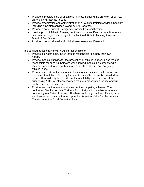- Provide immediate care of all athletic injuries, including the provision of splints, crutches and AED, as needed.
- Provide organization and administration of all athletic training services, possibly including physician services, stand-by EMS or other.
- Provide proof of current Emergency Cardiac Care certification.
- provide proof of Athletic Training certification, current Pennsylvania license and is a member in good standing with the National Athletic Training Association Board of Certification
- Provide proof of criminal and child abuse clearances, if needed

The certified athletic trainer will NOT be responsible to:

- Provide ice/water/cups. Each team is responsible to supply their own needs.
- Provide medical supplies for the prevention of athletic injuries. Each team is responsible for bringing their own well-supplied medical kit, complete with the items needed to tape or brace a previously evaluated and on-going athletic injury.
- Provide access to or the use of electrical modalities such as ultrasound and electrical stimulation. The only therapeutic modality that will be provided will be ice. Heat will only be provided at the availability and discretion of the supervising ATC. All other modalities require a prescription for use and will not be rendered in any case.
- Provide medical treatment to anyone but the competing athletes. The contracted Certified Athletic Trainer's first priority is to the athletes who are competing in a District III event. All others, including coaches, officials, fans and by-standers, may be treated upon the discretion of the Certified Athletic Trainer under the Good Samaritan Law.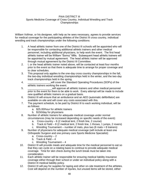#### PIAA DISTRICT III Sports Medicine Coverage of Cross Country, Individual Wrestling and Track Championships

William Vollmar, or his designee, with help as he sees necessary, agrees to provide services for medical coverage for the participating athletes of the District III cross country, individual wrestling and track championships under the following conditions:

- 1. A head athletic trainer from one of the District III schools will be appointed who will be responsible for contacting additional athletic trainers and other medical personnel, including additional physicians, to help work the event. The first head athletic trainer will be William "Sonny" Mills. Subsequent head athletic trainers will be appointed by mutual agreement. The head athletic trainer will be approved through mutual agreement by the District III Committee.
- 2. I, or the head athletic trainer noted above, will be contacted at least four months prior to the event so that there is adequate time to arrange for proper coverage and to clear schedules.
- 3. This proposal only applies to the one-day cross country championships in the fall, the two-day individual wrestling championships held in the winter, and the two-day track championships held in the spring.
- 4. \_\_\_\_\_\_\_\_\_\_\_\_\_\_\_\_will cover the Standard Operating Procedures (SOPs) of the athletic trainers working the event.
- 5. \_\_\_\_\_\_\_\_\_\_\_\_\_\_\_\_\_will approve all athletic trainers and other medical personnel prior to the event for them to be able to work. Every attempt will be made to include new qualified athletic trainers on a gradual basis.
- 6. District III will ensure that an ambulance and an AED (automatic defibrillator) are available on-site and will cover any costs associated with this.
- 7. The payment schedule, to be paid by District III to each working individual, will be as follows:
	- a. \$25.00/hour for athletic trainers
	- b. \$150/day for physicians
- 8. Number of athletic trainers for adequate medical coverage under normal circumstances (may be increased depending on specific needs of the event):
	- a. Cross-country 6 (2 medical tent, 2 finish line, 2 course)
	- b. Track & Field  $-8$  (2 medical tent, 2 finish line, 1 throws, 1 jumps, 2 rovers)
	- c. Wrestling Tournament number of mats, plus two (6 mats = 8 trainers)
- 9. Number of physicians for adequate medical coverage (will include at least one Orthopedic Surgeon and one primary care Sports Medicine Specialist):
	- a. Cross-country 2
	- b. Track  $&$  Field  $-4$
	- c. Wrestling Tournament 4
- 10. District III will provide meals and adequate time for the medical personnel to eat so that they can cycle on a rotating basis to continue to provide adequate medical coverage. Time for skin check during the lunch break must be taken into consideration.
- 11. Each athletic trainer will be responsible for ensuring medical liability insurance coverage either through their school or under an individual policy along with a District III medical liability policy.
- 12. District III will pay for supplies for taping and other on-site treatment of the athletes. Cost will depend on the number of injuries, but unused items will be stored, either